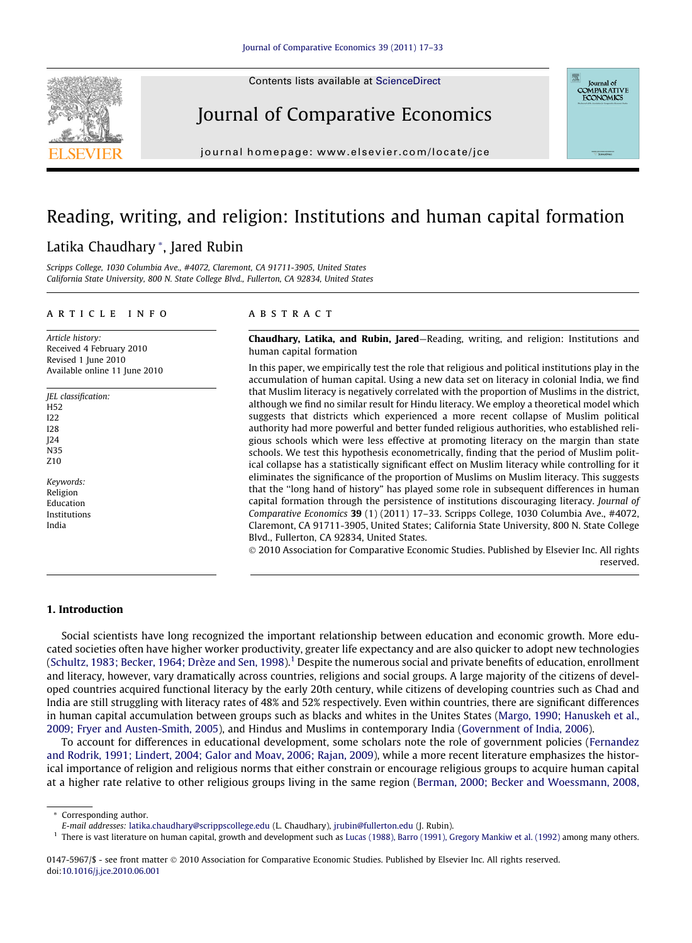Contents lists available at [ScienceDirect](http://www.sciencedirect.com/science/journal/01475967)





journal homepage: [www.elsevier.com/locate/jce](http://www.elsevier.com/locate/jce)

# Reading, writing, and religion: Institutions and human capital formation

### Latika Chaudhary \*, Jared Rubin

Scripps College, 1030 Columbia Ave., #4072, Claremont, CA 91711-3905, United States California State University, 800 N. State College Blvd., Fullerton, CA 92834, United States

#### article info

Article history: Received 4 February 2010 Revised 1 June 2010 Available online 11 June 2010

JEL classification: H52 I22 I28 J24 N35 Z10

Keywords: Religion Education Institutions India

#### ABSTRACT

Chaudhary, Latika, and Rubin, Jared—Reading, writing, and religion: Institutions and human capital formation

Dournal of<br>COMPARATIVE<br>ECONOMICS

In this paper, we empirically test the role that religious and political institutions play in the accumulation of human capital. Using a new data set on literacy in colonial India, we find that Muslim literacy is negatively correlated with the proportion of Muslims in the district, although we find no similar result for Hindu literacy. We employ a theoretical model which suggests that districts which experienced a more recent collapse of Muslim political authority had more powerful and better funded religious authorities, who established religious schools which were less effective at promoting literacy on the margin than state schools. We test this hypothesis econometrically, finding that the period of Muslim political collapse has a statistically significant effect on Muslim literacy while controlling for it eliminates the significance of the proportion of Muslims on Muslim literacy. This suggests that the ''long hand of history" has played some role in subsequent differences in human capital formation through the persistence of institutions discouraging literacy. Journal of Comparative Economics 39 (1) (2011) 17–33. Scripps College, 1030 Columbia Ave., #4072, Claremont, CA 91711-3905, United States; California State University, 800 N. State College Blvd., Fullerton, CA 92834, United States.

© 2010 Association for Comparative Economic Studies. Published by Elsevier Inc. All rights reserved.

#### 1. Introduction

Social scientists have long recognized the important relationship between education and economic growth. More educated societies often have higher worker productivity, greater life expectancy and are also quicker to adopt new technologies ([Schultz, 1983; Becker, 1964; Drèze and Sen, 1998\)](#page--1-0).<sup>1</sup> Despite the numerous social and private benefits of education, enrollment and literacy, however, vary dramatically across countries, religions and social groups. A large majority of the citizens of developed countries acquired functional literacy by the early 20th century, while citizens of developing countries such as Chad and India are still struggling with literacy rates of 48% and 52% respectively. Even within countries, there are significant differences in human capital accumulation between groups such as blacks and whites in the Unites States [\(Margo, 1990; Hanuskeh et al.,](#page--1-0) [2009; Fryer and Austen-Smith, 2005](#page--1-0)), and Hindus and Muslims in contemporary India ([Government of India, 2006](#page--1-0)).

To account for differences in educational development, some scholars note the role of government policies [\(Fernandez](#page--1-0) [and Rodrik, 1991; Lindert, 2004; Galor and Moav, 2006; Rajan, 2009\)](#page--1-0), while a more recent literature emphasizes the historical importance of religion and religious norms that either constrain or encourage religious groups to acquire human capital at a higher rate relative to other religious groups living in the same region [\(Berman, 2000; Becker and Woessmann, 2008,](#page--1-0)

<sup>\*</sup> Corresponding author.

E-mail addresses: [latika.chaudhary@scrippscollege.edu](mailto:latika.chaudhary@scrippscollege.edu) (L. Chaudhary), [jrubin@fullerton.edu](mailto:jrubin@fullerton.edu) (J. Rubin).

<sup>&</sup>lt;sup>1</sup> There is vast literature on human capital, growth and development such as [Lucas \(1988\), Barro \(1991\), Gregory Mankiw et al. \(1992\)](#page--1-0) among many others.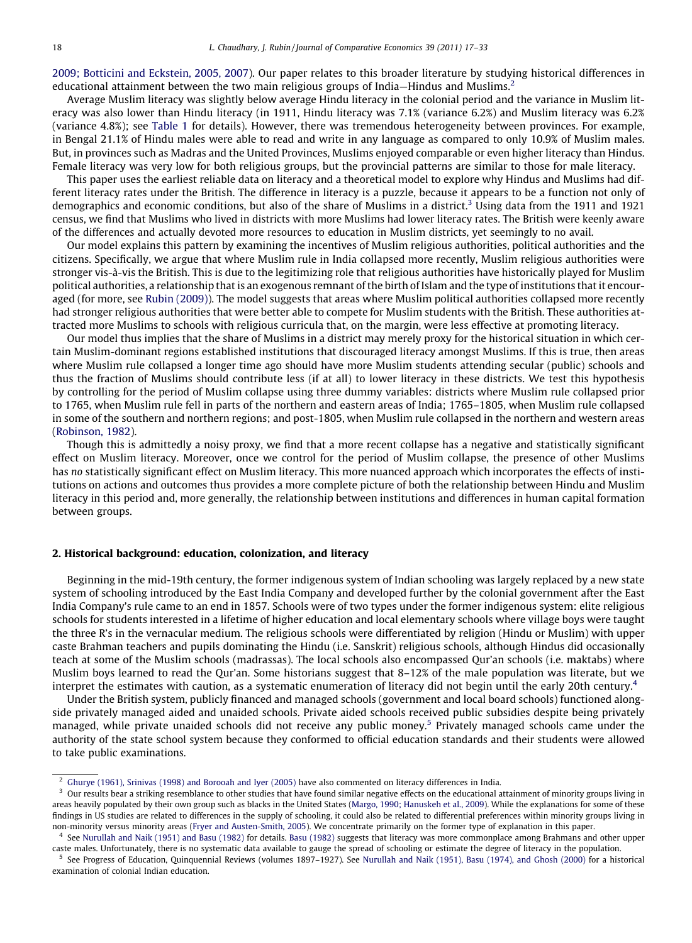[2009; Botticini and Eckstein, 2005, 2007\)](#page--1-0). Our paper relates to this broader literature by studying historical differences in educational attainment between the two main religious groups of India–Hindus and Muslims.<sup>2</sup>

Average Muslim literacy was slightly below average Hindu literacy in the colonial period and the variance in Muslim literacy was also lower than Hindu literacy (in 1911, Hindu literacy was 7.1% (variance 6.2%) and Muslim literacy was 6.2% (variance 4.8%); see [Table 1](#page--1-0) for details). However, there was tremendous heterogeneity between provinces. For example, in Bengal 21.1% of Hindu males were able to read and write in any language as compared to only 10.9% of Muslim males. But, in provinces such as Madras and the United Provinces, Muslims enjoyed comparable or even higher literacy than Hindus. Female literacy was very low for both religious groups, but the provincial patterns are similar to those for male literacy.

This paper uses the earliest reliable data on literacy and a theoretical model to explore why Hindus and Muslims had different literacy rates under the British. The difference in literacy is a puzzle, because it appears to be a function not only of demographics and economic conditions, but also of the share of Muslims in a district.<sup>3</sup> Using data from the 1911 and 1921 census, we find that Muslims who lived in districts with more Muslims had lower literacy rates. The British were keenly aware of the differences and actually devoted more resources to education in Muslim districts, yet seemingly to no avail.

Our model explains this pattern by examining the incentives of Muslim religious authorities, political authorities and the citizens. Specifically, we argue that where Muslim rule in India collapsed more recently, Muslim religious authorities were stronger vis-à-vis the British. This is due to the legitimizing role that religious authorities have historically played for Muslim political authorities, a relationship that is an exogenous remnant of the birth of Islam and the type of institutions that it encouraged (for more, see [Rubin \(2009\)\)](#page--1-0). The model suggests that areas where Muslim political authorities collapsed more recently had stronger religious authorities that were better able to compete for Muslim students with the British. These authorities attracted more Muslims to schools with religious curricula that, on the margin, were less effective at promoting literacy.

Our model thus implies that the share of Muslims in a district may merely proxy for the historical situation in which certain Muslim-dominant regions established institutions that discouraged literacy amongst Muslims. If this is true, then areas where Muslim rule collapsed a longer time ago should have more Muslim students attending secular (public) schools and thus the fraction of Muslims should contribute less (if at all) to lower literacy in these districts. We test this hypothesis by controlling for the period of Muslim collapse using three dummy variables: districts where Muslim rule collapsed prior to 1765, when Muslim rule fell in parts of the northern and eastern areas of India; 1765–1805, when Muslim rule collapsed in some of the southern and northern regions; and post-1805, when Muslim rule collapsed in the northern and western areas [\(Robinson, 1982\)](#page--1-0).

Though this is admittedly a noisy proxy, we find that a more recent collapse has a negative and statistically significant effect on Muslim literacy. Moreover, once we control for the period of Muslim collapse, the presence of other Muslims has no statistically significant effect on Muslim literacy. This more nuanced approach which incorporates the effects of institutions on actions and outcomes thus provides a more complete picture of both the relationship between Hindu and Muslim literacy in this period and, more generally, the relationship between institutions and differences in human capital formation between groups.

#### 2. Historical background: education, colonization, and literacy

Beginning in the mid-19th century, the former indigenous system of Indian schooling was largely replaced by a new state system of schooling introduced by the East India Company and developed further by the colonial government after the East India Company's rule came to an end in 1857. Schools were of two types under the former indigenous system: elite religious schools for students interested in a lifetime of higher education and local elementary schools where village boys were taught the three R's in the vernacular medium. The religious schools were differentiated by religion (Hindu or Muslim) with upper caste Brahman teachers and pupils dominating the Hindu (i.e. Sanskrit) religious schools, although Hindus did occasionally teach at some of the Muslim schools (madrassas). The local schools also encompassed Qur'an schools (i.e. maktabs) where Muslim boys learned to read the Qur'an. Some historians suggest that 8–12% of the male population was literate, but we interpret the estimates with caution, as a systematic enumeration of literacy did not begin until the early 20th century.4

Under the British system, publicly financed and managed schools (government and local board schools) functioned alongside privately managed aided and unaided schools. Private aided schools received public subsidies despite being privately managed, while private unaided schools did not receive any public money.<sup>5</sup> Privately managed schools came under the authority of the state school system because they conformed to official education standards and their students were allowed to take public examinations.

<sup>&</sup>lt;sup>2</sup> [Ghurye \(1961\), Srinivas \(1998\) and Borooah and Iyer \(2005\)](#page--1-0) have also commented on literacy differences in India.<br><sup>3</sup> Our results haar a striking resemblance to other studies that have found similar perative effects on

Our results bear a striking resemblance to other studies that have found similar negative effects on the educational attainment of minority groups living in areas heavily populated by their own group such as blacks in the United States ([Margo, 1990; Hanuskeh et al., 2009](#page--1-0)). While the explanations for some of these findings in US studies are related to differences in the supply of schooling, it could also be related to differential preferences within minority groups living in non-minority versus minority areas ([Fryer and Austen-Smith, 2005](#page--1-0)). We concentrate primarily on the former type of explanation in this paper.

See [Nurullah and Naik \(1951\) and Basu \(1982\)](#page--1-0) for details. [Basu \(1982\)](#page--1-0) suggests that literacy was more commonplace among Brahmans and other upper caste males. Unfortunately, there is no systematic data available to gauge the spread of schooling or estimate the degree of literacy in the population.

<sup>&</sup>lt;sup>5</sup> See Progress of Education, Quinquennial Reviews (volumes 1897–1927). See [Nurullah and Naik \(1951\), Basu \(1974\), and Ghosh \(2000\)](#page--1-0) for a historical examination of colonial Indian education.